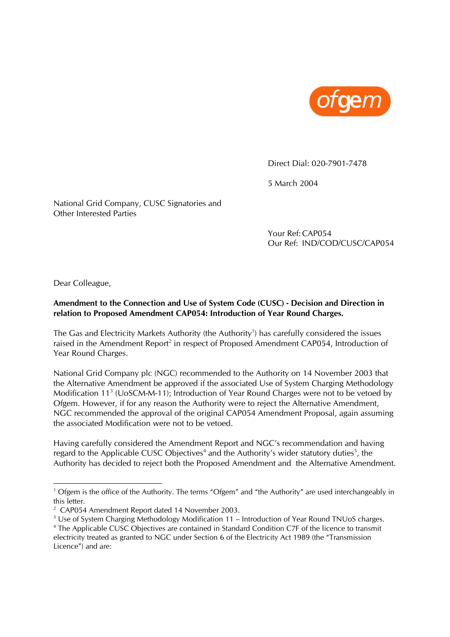

Direct Dial: 020-7901-7478

5 March 2004

National Grid Company, CUSC Signatories and Other Interested Parties

> Your Ref: CAP054 Our Ref: IND/COD/CUSC/CAP054

Dear Colleague,

 $\overline{a}$ 

# **Amendment to the Connection and Use of System Code (CUSC) - Decision and Direction in relation to Proposed Amendment CAP054: Introduction of Year Round Charges.**

The Gas and Electricity Markets Authority (the Authority<sup>1</sup>) has carefully considered the issues raised in the Amendment Report<sup>2</sup> in respect of Proposed Amendment CAP054, Introduction of Year Round Charges.

National Grid Company plc (NGC) recommended to the Authority on 14 November 2003 that the Alternative Amendment be approved if the associated Use of System Charging Methodology Modification 11<sup>3</sup> (UoSCM-M-11); Introduction of Year Round Charges were not to be vetoed by Ofgem. However, if for any reason the Authority were to reject the Alternative Amendment, NGC recommended the approval of the original CAP054 Amendment Proposal, again assuming the associated Modification were not to be vetoed.

Having carefully considered the Amendment Report and NGC's recommendation and having regard to the Applicable CUSC Objectives<sup>4</sup> and the Authority's wider statutory duties<sup>5</sup>, the Authority has decided to reject both the Proposed Amendment and the Alternative Amendment.

<sup>&</sup>lt;sup>1</sup> Ofgem is the office of the Authority. The terms "Ofgem" and "the Authority" are used interchangeably in this letter.

<sup>&</sup>lt;sup>2</sup> CAP054 Amendment Report dated 14 November 2003.

 $3$  Use of System Charging Methodology Modification 11 – Introduction of Year Round TNUoS charges.

<sup>&</sup>lt;sup>4</sup> The Applicable CUSC Objectives are contained in Standard Condition C7F of the licence to transmit electricity treated as granted to NGC under Section 6 of the Electricity Act 1989 (the "Transmission Licence") and are: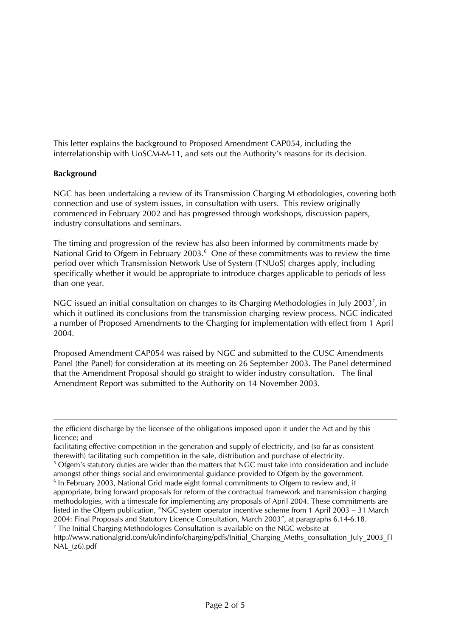This letter explains the background to Proposed Amendment CAP054, including the interrelationship with UoSCM-M-11, and sets out the Authority's reasons for its decision.

# **Background**

 $\overline{a}$ 

NGC has been undertaking a review of its Transmission Charging M ethodologies, covering both connection and use of system issues, in consultation with users. This review originally commenced in February 2002 and has progressed through workshops, discussion papers, industry consultations and seminars.

The timing and progression of the review has also been informed by commitments made by National Grid to Ofgem in February 2003.<sup>6</sup> One of these commitments was to review the time period over which Transmission Network Use of System (TNUoS) charges apply, including specifically whether it would be appropriate to introduce charges applicable to periods of less than one year.

NGC issued an initial consultation on changes to its Charging Methodologies in July 2003<sup>7</sup>, in which it outlined its conclusions from the transmission charging review process. NGC indicated a number of Proposed Amendments to the Charging for implementation with effect from 1 April 2004.

Proposed Amendment CAP054 was raised by NGC and submitted to the CUSC Amendments Panel (the Panel) for consideration at its meeting on 26 September 2003. The Panel determined that the Amendment Proposal should go straight to wider industry consultation. The final Amendment Report was submitted to the Authority on 14 November 2003.

the efficient discharge by the licensee of the obligations imposed upon it under the Act and by this licence; and

facilitating effective competition in the generation and supply of electricity, and (so far as consistent therewith) facilitating such competition in the sale, distribution and purchase of electricity.

<sup>&</sup>lt;sup>5</sup> Ofgem's statutory duties are wider than the matters that NGC must take into consideration and include amongst other things social and environmental guidance provided to Ofgem by the government.

<sup>&</sup>lt;sup>6</sup> In February 2003, National Grid made eight formal commitments to Ofgem to review and, if appropriate, bring forward proposals for reform of the contractual framework and transmission charging methodologies, with a timescale for implementing any proposals of April 2004. These commitments are listed in the Ofgem publication, "NGC system operator incentive scheme from 1 April 2003 – 31 March 2004: Final Proposals and Statutory Licence Consultation, March 2003", at paragraphs 6.14-6.18. 7  $\frac{7}{7}$  The Initial Charging Methodologies Consultation is available on the NGC website at

http://www.nationalgrid.com/uk/indinfo/charging/pdfs/Initial\_Charging\_Meths\_consultation\_July\_2003\_FI NAL\_(z6).pdf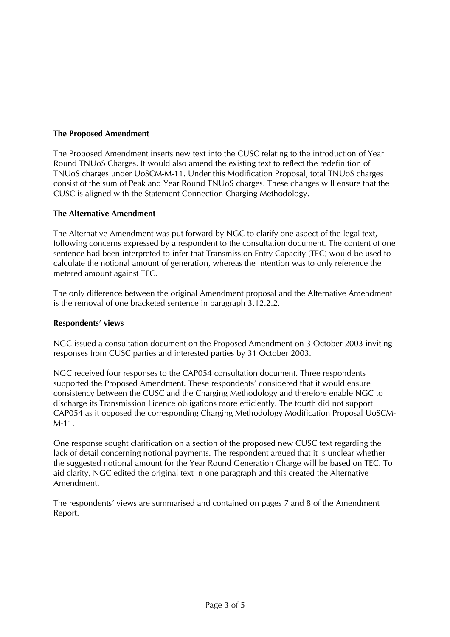# **The Proposed Amendment**

The Proposed Amendment inserts new text into the CUSC relating to the introduction of Year Round TNUoS Charges. It would also amend the existing text to reflect the redefinition of TNUoS charges under UoSCM-M-11. Under this Modification Proposal, total TNUoS charges consist of the sum of Peak and Year Round TNUoS charges. These changes will ensure that the CUSC is aligned with the Statement Connection Charging Methodology.

# **The Alternative Amendment**

The Alternative Amendment was put forward by NGC to clarify one aspect of the legal text, following concerns expressed by a respondent to the consultation document. The content of one sentence had been interpreted to infer that Transmission Entry Capacity (TEC) would be used to calculate the notional amount of generation, whereas the intention was to only reference the metered amount against TEC.

The only difference between the original Amendment proposal and the Alternative Amendment is the removal of one bracketed sentence in paragraph 3.12.2.2.

### **Respondents' views**

NGC issued a consultation document on the Proposed Amendment on 3 October 2003 inviting responses from CUSC parties and interested parties by 31 October 2003.

NGC received four responses to the CAP054 consultation document. Three respondents supported the Proposed Amendment. These respondents' considered that it would ensure consistency between the CUSC and the Charging Methodology and therefore enable NGC to discharge its Transmission Licence obligations more efficiently. The fourth did not support CAP054 as it opposed the corresponding Charging Methodology Modification Proposal UoSCM-M-11.

One response sought clarification on a section of the proposed new CUSC text regarding the lack of detail concerning notional payments. The respondent argued that it is unclear whether the suggested notional amount for the Year Round Generation Charge will be based on TEC. To aid clarity, NGC edited the original text in one paragraph and this created the Alternative Amendment.

The respondents' views are summarised and contained on pages 7 and 8 of the Amendment Report.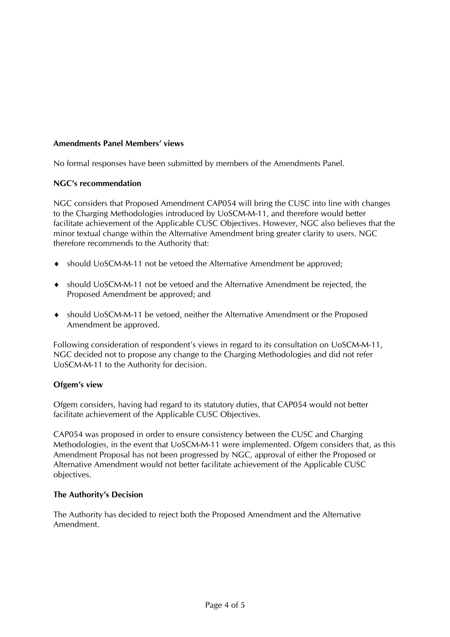# **Amendments Panel Members' views**

No formal responses have been submitted by members of the Amendments Panel.

# **NGC's recommendation**

NGC considers that Proposed Amendment CAP054 will bring the CUSC into line with changes to the Charging Methodologies introduced by UoSCM-M-11, and therefore would better facilitate achievement of the Applicable CUSC Objectives. However, NGC also believes that the minor textual change within the Alternative Amendment bring greater clarity to users. NGC therefore recommends to the Authority that:

- ♦ should UoSCM-M-11 not be vetoed the Alternative Amendment be approved;
- ♦ should UoSCM-M-11 not be vetoed and the Alternative Amendment be rejected, the Proposed Amendment be approved; and
- ♦ should UoSCM-M-11 be vetoed, neither the Alternative Amendment or the Proposed Amendment be approved.

Following consideration of respondent's views in regard to its consultation on UoSCM-M-11, NGC decided not to propose any change to the Charging Methodologies and did not refer UoSCM-M-11 to the Authority for decision.

# **Ofgem's view**

Ofgem considers, having had regard to its statutory duties, that CAP054 would not better facilitate achievement of the Applicable CUSC Objectives.

CAP054 was proposed in order to ensure consistency between the CUSC and Charging Methodologies, in the event that UoSCM-M-11 were implemented. Ofgem considers that, as this Amendment Proposal has not been progressed by NGC, approval of either the Proposed or Alternative Amendment would not better facilitate achievement of the Applicable CUSC objectives.

# **The Authority's Decision**

The Authority has decided to reject both the Proposed Amendment and the Alternative Amendment.